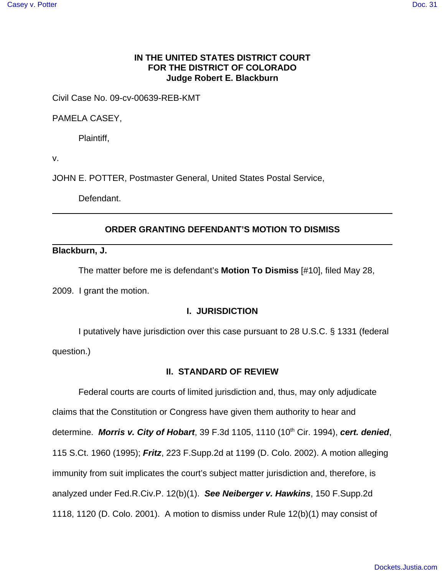# **IN THE UNITED STATES DISTRICT COURT FOR THE DISTRICT OF COLORADO Judge Robert E. Blackburn**

Civil Case No. 09-cv-00639-REB-KMT

PAMELA CASEY,

Plaintiff,

v.

JOHN E. POTTER, Postmaster General, United States Postal Service,

Defendant.

# **ORDER GRANTING DEFENDANT'S MOTION TO DISMISS**

**Blackburn, J.**

The matter before me is defendant's **Motion To Dismiss** [#10], filed May 28,

2009. I grant the motion.

### **I. JURISDICTION**

I putatively have jurisdiction over this case pursuant to 28 U.S.C. § 1331 (federal question.)

# **II. STANDARD OF REVIEW**

Federal courts are courts of limited jurisdiction and, thus, may only adjudicate claims that the Constitution or Congress have given them authority to hear and determine. **Morris v. City of Hobart**, 39 F.3d 1105, 1110 (10<sup>th</sup> Cir. 1994), cert. denied, 115 S.Ct. 1960 (1995); **Fritz**, 223 F.Supp.2d at 1199 (D. Colo. 2002). A motion alleging immunity from suit implicates the court's subject matter jurisdiction and, therefore, is analyzed under Fed.R.Civ.P. 12(b)(1). **See Neiberger v. Hawkins**, 150 F.Supp.2d 1118, 1120 (D. Colo. 2001). A motion to dismiss under Rule 12(b)(1) may consist of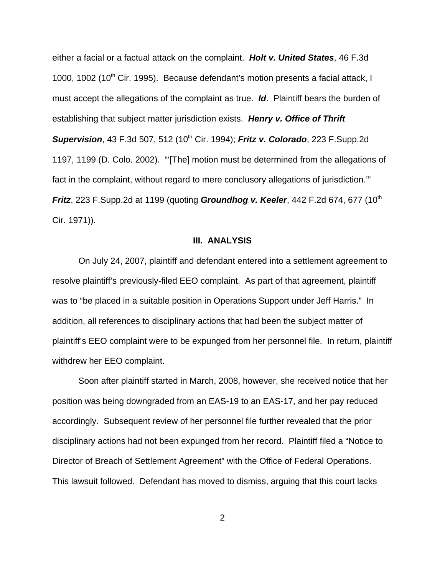either a facial or a factual attack on the complaint. **Holt v. United States**, 46 F.3d 1000, 1002 (10<sup>th</sup> Cir. 1995). Because defendant's motion presents a facial attack, I must accept the allegations of the complaint as true. **Id**. Plaintiff bears the burden of establishing that subject matter jurisdiction exists. **Henry v. Office of Thrift Supervision**, 43 F.3d 507, 512 (10<sup>th</sup> Cir. 1994); **Fritz v. Colorado**, 223 F.Supp.2d 1197, 1199 (D. Colo. 2002). "'[The] motion must be determined from the allegations of fact in the complaint, without regard to mere conclusory allegations of jurisdiction.'" **Fritz**, 223 F.Supp.2d at 1199 (quoting **Groundhog v. Keeler**, 442 F.2d 674, 677 (10<sup>th</sup>) Cir. 1971)).

#### **III. ANALYSIS**

On July 24, 2007, plaintiff and defendant entered into a settlement agreement to resolve plaintiff's previously-filed EEO complaint. As part of that agreement, plaintiff was to "be placed in a suitable position in Operations Support under Jeff Harris." In addition, all references to disciplinary actions that had been the subject matter of plaintiff's EEO complaint were to be expunged from her personnel file. In return, plaintiff withdrew her EEO complaint.

Soon after plaintiff started in March, 2008, however, she received notice that her position was being downgraded from an EAS-19 to an EAS-17, and her pay reduced accordingly. Subsequent review of her personnel file further revealed that the prior disciplinary actions had not been expunged from her record. Plaintiff filed a "Notice to Director of Breach of Settlement Agreement" with the Office of Federal Operations. This lawsuit followed. Defendant has moved to dismiss, arguing that this court lacks

2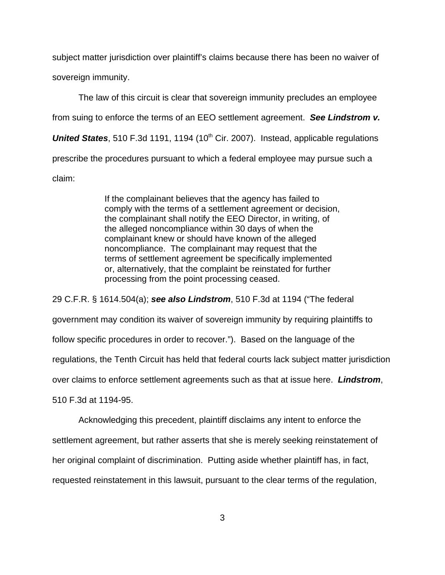subject matter jurisdiction over plaintiff's claims because there has been no waiver of sovereign immunity.

The law of this circuit is clear that sovereign immunity precludes an employee from suing to enforce the terms of an EEO settlement agreement. **See Lindstrom v. United States**, 510 F.3d 1191, 1194 (10<sup>th</sup> Cir. 2007). Instead, applicable regulations prescribe the procedures pursuant to which a federal employee may pursue such a claim:

> If the complainant believes that the agency has failed to comply with the terms of a settlement agreement or decision, the complainant shall notify the EEO Director, in writing, of the alleged noncompliance within 30 days of when the complainant knew or should have known of the alleged noncompliance. The complainant may request that the terms of settlement agreement be specifically implemented or, alternatively, that the complaint be reinstated for further processing from the point processing ceased.

29 C.F.R. § 1614.504(a); **see also Lindstrom**, 510 F.3d at 1194 ("The federal government may condition its waiver of sovereign immunity by requiring plaintiffs to follow specific procedures in order to recover."). Based on the language of the regulations, the Tenth Circuit has held that federal courts lack subject matter jurisdiction over claims to enforce settlement agreements such as that at issue here. **Lindstrom**, 510 F.3d at 1194-95.

Acknowledging this precedent, plaintiff disclaims any intent to enforce the settlement agreement, but rather asserts that she is merely seeking reinstatement of her original complaint of discrimination. Putting aside whether plaintiff has, in fact, requested reinstatement in this lawsuit, pursuant to the clear terms of the regulation,